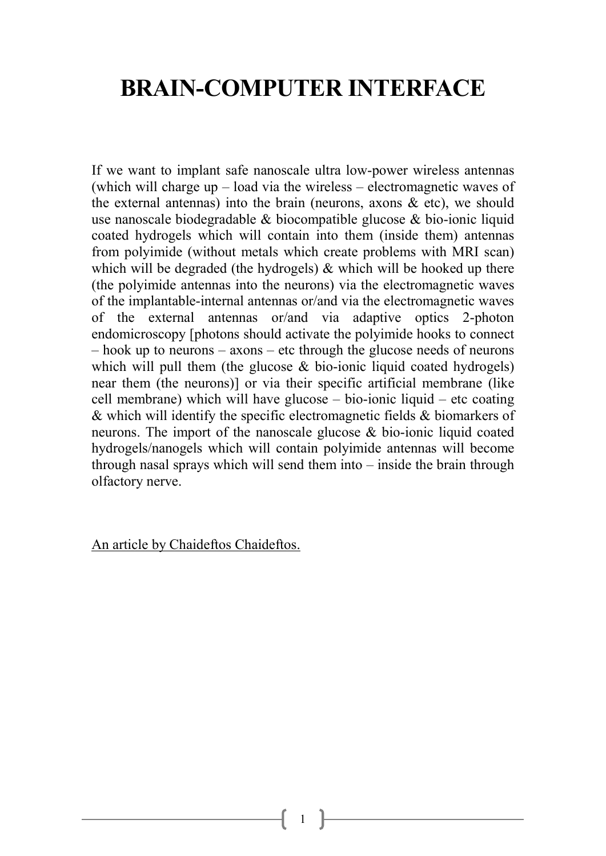## BRAIN-COMPUTER INTERFACE

If we want to implant safe nanoscale ultra low-power wireless antennas (which will charge up – load via the wireless – electromagnetic waves of the external antennas) into the brain (neurons, axons  $\&$  etc), we should use nanoscale biodegradable & biocompatible glucose & bio-ionic liquid coated hydrogels which will contain into them (inside them) antennas from polyimide (without metals which create problems with MRI scan) which will be degraded (the hydrogels) & which will be hooked up there (the polyimide antennas into the neurons) via the electromagnetic waves of the implantable-internal antennas or/and via the electromagnetic waves of the external antennas or/and via adaptive optics 2-photon endomicroscopy [photons should activate the polyimide hooks to connect – hook up to neurons – axons – etc through the glucose needs of neurons which will pull them (the glucose & bio-ionic liquid coated hydrogels) near them (the neurons)] or via their specific artificial membrane (like cell membrane) which will have glucose – bio-ionic liquid – etc coating & which will identify the specific electromagnetic fields & biomarkers of neurons. The import of the nanoscale glucose & bio-ionic liquid coated hydrogels/nanogels which will contain polyimide antennas will become through nasal sprays which will send them into – inside the brain through olfactory nerve.

An article by Chaideftos Chaideftos.